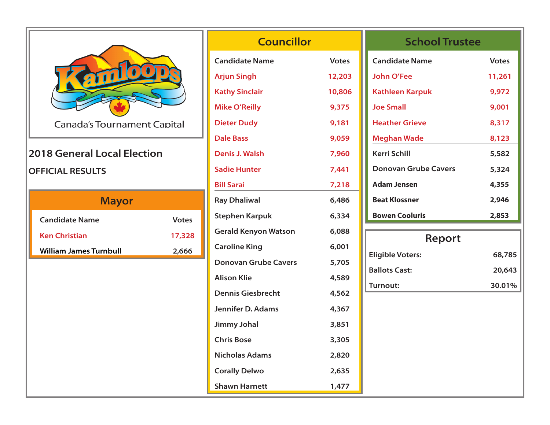|                                    |              | $\overline{C}$ |  |  |  |  |  |  |  |  |  |  |
|------------------------------------|--------------|----------------|--|--|--|--|--|--|--|--|--|--|
|                                    |              | A              |  |  |  |  |  |  |  |  |  |  |
|                                    |              | K              |  |  |  |  |  |  |  |  |  |  |
|                                    |              |                |  |  |  |  |  |  |  |  |  |  |
| <b>Canada's Tournament Capital</b> |              |                |  |  |  |  |  |  |  |  |  |  |
|                                    |              | D              |  |  |  |  |  |  |  |  |  |  |
| <b>2018 General Local Election</b> |              | D<br>S         |  |  |  |  |  |  |  |  |  |  |
| <b>OFFICIAL RESULTS</b>            |              | B              |  |  |  |  |  |  |  |  |  |  |
| <b>Mayor</b>                       |              | R              |  |  |  |  |  |  |  |  |  |  |
| <b>Candidate Name</b>              | <b>Votes</b> | S              |  |  |  |  |  |  |  |  |  |  |
| <b>Ken Christian</b>               | 17,328       | G              |  |  |  |  |  |  |  |  |  |  |
| <b>William James Turnbull</b>      | 2,666        | $\mathsf{C}$   |  |  |  |  |  |  |  |  |  |  |
|                                    |              | D              |  |  |  |  |  |  |  |  |  |  |
|                                    |              | A              |  |  |  |  |  |  |  |  |  |  |
|                                    |              | D              |  |  |  |  |  |  |  |  |  |  |
|                                    |              | J)             |  |  |  |  |  |  |  |  |  |  |
|                                    |              | Ji             |  |  |  |  |  |  |  |  |  |  |
|                                    |              |                |  |  |  |  |  |  |  |  |  |  |
|                                    |              | N              |  |  |  |  |  |  |  |  |  |  |
|                                    |              | $\mathsf{C}$   |  |  |  |  |  |  |  |  |  |  |
|                                    |              | S              |  |  |  |  |  |  |  |  |  |  |

| <b>Councillor</b>           |              |
|-----------------------------|--------------|
| <b>Candidate Name</b>       | <b>Votes</b> |
| <b>Arjun Singh</b>          | 12,203       |
| <b>Kathy Sinclair</b>       | 10,806       |
| <b>Mike O'Reilly</b>        | 9,375        |
| <b>Dieter Dudy</b>          | 9,181        |
| <b>Dale Bass</b>            | 9,059        |
| <b>Denis J. Walsh</b>       | 7,960        |
| Sadie Hunter                | 7,441        |
| <b>Bill Sarai</b>           | 7,218        |
| <b>Ray Dhaliwal</b>         | 6,486        |
| <b>Stephen Karpuk</b>       | 6,334        |
| <b>Gerald Kenyon Watson</b> | 6,088        |
| <b>Caroline King</b>        | 6,001        |
| Donovan Grube Cavers        | 5,705        |
| <b>Alison Klie</b>          | 4,589        |
| <b>Dennis Giesbrecht</b>    | 4,562        |
| Jennifer D. Adams           | 4,367        |
| Jimmy Johal                 | 3,851        |
| <b>Chris Bose</b>           | 3,305        |
| Nicholas Adams              | 2,820        |
| <b>Corally Delwo</b>        | 2,635        |
| <b>Shawn Harnett</b>        | 1,477        |

| <b>School Trustee</b> |              |
|-----------------------|--------------|
| Candidate Name        | <b>Votes</b> |
| John O'Fee            | 11,261       |
| Kathleen Karpuk       | 9,972        |
| <b>Joe Small</b>      | 9,001        |
| <b>Heather Grieve</b> | 8,317        |
| Meghan Wade           | 8,123        |
| <b>Kerri Schill</b>   | 5,582        |
| Donovan Grube Cavers  | 5,324        |
| <b>Adam Jensen</b>    | 4,355        |
| <b>Beat Klossner</b>  | 2,946        |
| <b>Bowen Cooluris</b> | 2,853        |
|                       |              |

**College** 

| Report                  |        |  |  |  |  |  |  |  |  |  |  |  |  |
|-------------------------|--------|--|--|--|--|--|--|--|--|--|--|--|--|
| <b>Eligible Voters:</b> | 68,785 |  |  |  |  |  |  |  |  |  |  |  |  |
| <b>Ballots Cast:</b>    | 20,643 |  |  |  |  |  |  |  |  |  |  |  |  |
| Turnout:                | 30.01% |  |  |  |  |  |  |  |  |  |  |  |  |
|                         |        |  |  |  |  |  |  |  |  |  |  |  |  |
|                         |        |  |  |  |  |  |  |  |  |  |  |  |  |
|                         |        |  |  |  |  |  |  |  |  |  |  |  |  |
|                         |        |  |  |  |  |  |  |  |  |  |  |  |  |
|                         |        |  |  |  |  |  |  |  |  |  |  |  |  |
|                         |        |  |  |  |  |  |  |  |  |  |  |  |  |
|                         |        |  |  |  |  |  |  |  |  |  |  |  |  |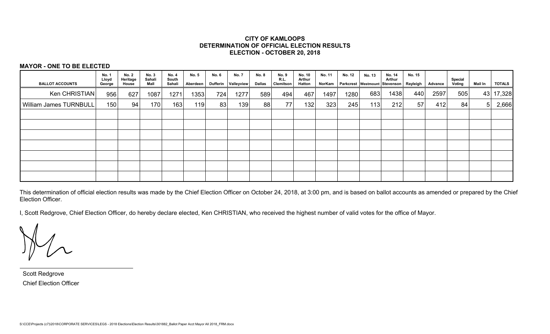## **CITY OF KAMLOOPS DETERMINATION OF OFFICIAL ELECTION RESULTS ELECTION - OCTOBER 20, 2018**

## **MAYOR - ONE TO BE ELECTED**

| <b>BALLOT ACCOUNTS</b>        | <b>No. 1</b><br>Lloyd<br>George | <b>No. 2</b><br>Heritage<br>House | <b>No. 3</b><br>Sahali<br>Mall | <b>No. 4</b><br>South<br>Sahali | No. 5<br>Aberdeen | <b>No. 6</b><br>Dufferin | <b>No. 7</b><br>Valleyview | <b>No. 8</b><br>Dallas | <b>No. 9</b><br>R.L.<br>Clemitson | No. 10<br>Arthur<br><b>Hatton</b> | <b>No. 11</b><br>NorKam | No. 12 | No. 13<br>Parkcrest   Westmount   Stevenson | No. 14<br>Arthur | <b>No. 15</b><br>Rayleigh | Advance | Special<br>Voting | Mail In | <b>TOTALS</b> |
|-------------------------------|---------------------------------|-----------------------------------|--------------------------------|---------------------------------|-------------------|--------------------------|----------------------------|------------------------|-----------------------------------|-----------------------------------|-------------------------|--------|---------------------------------------------|------------------|---------------------------|---------|-------------------|---------|---------------|
| Ken CHRISTIAN                 | 956                             | 627                               | 1087                           | 1271                            | 1353              | 724                      | 1277                       | 589                    | 494                               | 467                               | 1497                    | 1280   | 683                                         | 1438             | 440                       | 2597    | 505               | 43      | 17,328        |
| <b>William James TURNBULL</b> | 150                             | 94 <sub>1</sub>                   | 170                            | 163                             | 119               | 83                       | 139                        | 88                     | 77                                | 132                               | 323                     | 245    | 113                                         | 212              | 57                        | 412     | 84                | 51      | 2,666         |
|                               |                                 |                                   |                                |                                 |                   |                          |                            |                        |                                   |                                   |                         |        |                                             |                  |                           |         |                   |         |               |
|                               |                                 |                                   |                                |                                 |                   |                          |                            |                        |                                   |                                   |                         |        |                                             |                  |                           |         |                   |         |               |
|                               |                                 |                                   |                                |                                 |                   |                          |                            |                        |                                   |                                   |                         |        |                                             |                  |                           |         |                   |         |               |
|                               |                                 |                                   |                                |                                 |                   |                          |                            |                        |                                   |                                   |                         |        |                                             |                  |                           |         |                   |         |               |
|                               |                                 |                                   |                                |                                 |                   |                          |                            |                        |                                   |                                   |                         |        |                                             |                  |                           |         |                   |         |               |
|                               |                                 |                                   |                                |                                 |                   |                          |                            |                        |                                   |                                   |                         |        |                                             |                  |                           |         |                   |         |               |
|                               |                                 |                                   |                                |                                 |                   |                          |                            |                        |                                   |                                   |                         |        |                                             |                  |                           |         |                   |         |               |

This determination of official election results was made by the Chief Election Officer on October 24, 2018, at 3:00 pm, and is based on ballot accounts as amended or prepared by the Chief Election Officer.

I, Scott Redgrove, Chief Election Officer, do hereby declare elected, Ken CHRISTIAN, who received the highest number of valid votes for the office of Mayor.

Scott Redgrove Chief Election Officer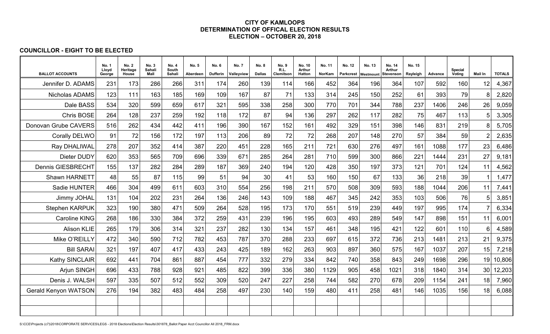## **CITY OF KAMLOOPS DETERMINATION OF OFFICAL ELECTION RESULTS ELECTION – OCTOBER 20, 2018**

# **COUNCILLOR - EIGHT TO BE ELECTED**

|                          | <b>No. 1</b><br>Lloyd | <b>No. 2</b><br>Heritage | No. 3<br>Sahali | <b>No. 4</b><br>South | No. 5    | No. 6           | <b>No. 7</b> | <b>No. 8</b>  | No. 9<br>R.L.    | No. 10<br><b>Arthur</b> | No. 11        | <b>No. 12</b>    | No. 13    | No. 14<br>Arthur | No. 15   |         | <b>Special</b> |                |               |
|--------------------------|-----------------------|--------------------------|-----------------|-----------------------|----------|-----------------|--------------|---------------|------------------|-------------------------|---------------|------------------|-----------|------------------|----------|---------|----------------|----------------|---------------|
| <b>BALLOT ACCOUNTS</b>   | George                | House                    | Mall            | Sahali                | Aberdeen | <b>Dufferin</b> | Valleyview   | <b>Dallas</b> | <b>Clemitson</b> | <b>Hatton</b>           | <b>NorKam</b> | <b>Parkcrest</b> | Westmount | <b>Stevenson</b> | Rayleigh | Advance | Voting         | <b>Mail In</b> | <b>TOTALS</b> |
| Jennifer D. ADAMS        | 231                   | 173                      | 286             | 266                   | 311      | 174             | 260          | 139           | 114              | 166                     | 452           | 364              | 196       | 364              | 107      | 592     | 160            | 12             | 4,367         |
| Nicholas ADAMS           | 123                   | 111                      | 163             | 185                   | 169      | 109             | 167          | 87            | 71               | 133                     | 314           | 245              | 150       | 252              | 61       | 393     | 79             | 8              | 2,820         |
| Dale BASS                | 534                   | 320                      | 599             | 659                   | 617      | 321             | 595          | 338           | 258              | 300                     | 770           | 701              | 344       | 788              | 237      | 1406    | 246            | 26             | 9,059         |
| Chris BOSE               | 264                   | 128                      | 237             | 259                   | 192      | 118             | 172          | 87            | 94               | 136                     | 297           | 262              | 117       | 282              | 75       | 467     | 113            | 5              | 3,305         |
| Donovan Grube CAVERS     | 516                   | 262                      | 434             | 442                   | 411      | 196             | 390          | 167           | 152              | 161                     | 492           | 329              | 151       | 398              | 146      | 831     | 219            | 8              | 5,705         |
| Corally DELWO            | 91                    | 72                       | 156             | 172                   | 197      | 113             | 206          | 89            | 72               | 72                      | 268           | 207              | 148       | 270              | 57       | 384     | 59             | $\overline{2}$ | 2,635         |
| Ray DHALIWAL             | 278                   | 207                      | 352             | 414                   | 387      | 220             | 451          | 228           | 165              | 211                     | 721           | 630              | 276       | 497              | 161      | 1088    | 177            | 23             | 6,486         |
| Dieter DUDY              | 620                   | 353                      | 565             | 709                   | 696      | 339             | 671          | 285           | 264              | 281                     | 710           | 599              | 300       | 866              | 221      | 1444    | 231            | 27             | 9,181         |
| <b>Dennis GIESBRECHT</b> | 155                   | 137                      | 282             | 284                   | 289      | 187             | 369          | 240           | 194              | 120                     | 428           | 350              | 197       | 373              | 121      | 701     | 124            | 11             | 4,562         |
| Shawn HARNETT            | 48                    | 55                       | 87              | 115                   | 99       | 51              | 94           | 30            | 41               | 53                      | 160           | 150              | 67        | 133              | 36       | 218     | 39             |                | 1,477         |
| Sadie HUNTER             | 466                   | 304                      | 499             | 611                   | 603      | 310             | 554          | 256           | 198              | 211                     | 570           | 508              | 309       | 593              | 188      | 1044    | 206            | 11             | 7,441         |
| Jimmy JOHAL              | 131                   | 104                      | 202             | 231                   | 264      | 136             | 246          | 143           | 109              | 188                     | 467           | 345              | 242       | 353              | 103      | 506     | 76             | 5              | 3,851         |
| <b>Stephen KARPUK</b>    | 323                   | 190                      | 380             | 471                   | 509      | 264             | 528          | 195           | 173              | 170                     | 551           | 519              | 239       | 449              | 197      | 995     | 174            |                | 6,334         |
| Caroline KING            | 268                   | 186                      | 330             | 384                   | 372      | 259             | 431          | 239           | 196              | 195                     | 603           | 493              | 289       | 549              | 147      | 898     | 151            | 11             | 6,001         |
| <b>Alison KLIE</b>       | 265                   | 179                      | 306             | 314                   | 321      | 237             | 282          | 130           | 134              | 157                     | 461           | 348              | 195       | 421              | 122      | 601     | 110            | 6              | 4,589         |
| Mike O'REILLY            | 472                   | 340                      | 590             | 712                   | 782      | 453             | 787          | 370           | 288              | 233                     | 697           | 615              | 372       | 736              | 213      | 1481    | 213            | 21             | 9,375         |
| <b>Bill SARAI</b>        | 321                   | 197                      | 407             | 417                   | 433      | 243             | 425          | 189           | 162              | 263                     | 903           | 897              | 360       | 575              | 167      | 1037    | 207            | 15             | 7,218         |
| Kathy SINCLAIR           | 692                   | 441                      | 704             | 861                   | 887      | 454             | 777          | 332           | 279              | 334                     | 842           | 740              | 358       | 843              | 249      | 1698    | 296            | 19             | 10,806        |
| Arjun SINGH              | 696                   | 433                      | 788             | 928                   | 921      | 485             | 822          | 399           | 336              | 380                     | 1129          | 905              | 458       | 1021             | 318      | 1840    | 314            | 30             | 12,203        |
| Denis J. WALSH           | 597                   | 335                      | 507             | 512                   | 552      | 309             | 520          | 247           | 227              | 258                     | 744           | 582              | 270       | 678              | 209      | 1154    | 241            | 18             | 7,960         |
| Gerald Kenyon WATSON     | 276                   | 194                      | 382             | 483                   | 484      | 258             | 497          | 230           | 140              | 159                     | 480           | 411              | 258       | 481              | 146      | 1035    | 156            | 18             | 6,088         |
|                          |                       |                          |                 |                       |          |                 |              |               |                  |                         |               |                  |           |                  |          |         |                |                |               |
|                          |                       |                          |                 |                       |          |                 |              |               |                  |                         |               |                  |           |                  |          |         |                |                |               |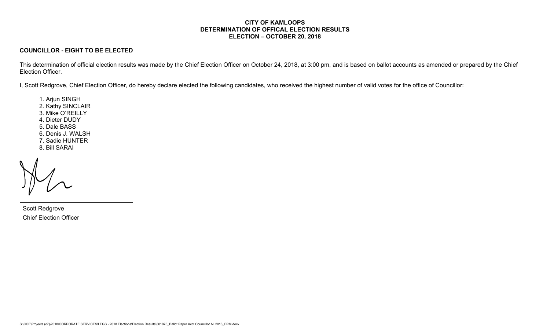#### **CITY OF KAMLOOPS DETERMINATION OF OFFICAL ELECTION RESULTS ELECTION – OCTOBER 20, 2018**

## **COUNCILLOR - EIGHT TO BE ELECTED**

This determination of official election results was made by the Chief Election Officer on October 24, 2018, at 3:00 pm, and is based on ballot accounts as amended or prepared by the Chief Election Officer.

I, Scott Redgrove, Chief Election Officer, do hereby declare elected the following candidates, who received the highest number of valid votes for the office of Councillor:

1. Arjun SINGH 2. Kathy SINCLAIR 3. Mike O'REILLY 4. Dieter DUDY 5. Dale BASS 6. Denis J. WALSH 7. Sadie HUNTER 8. Bill SARAI

Scott Redgrove Chief Election Officer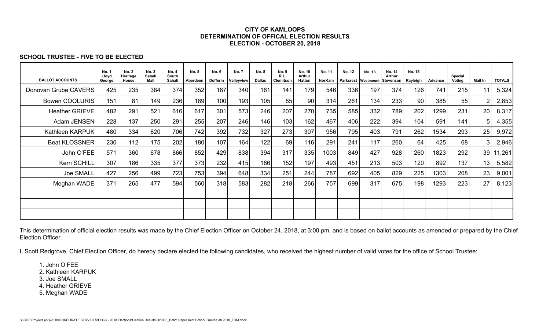### **CITY OF KAMLOOPS DETERMINATION OF OFFICAL ELECTION RESULTS ELECTION - OCTOBER 20, 2018**

## **SCHOOL TRUSTEE - FIVE TO BE ELECTED**

| <b>BALLOT ACCOUNTS</b> | <b>No. 1</b><br>Lloyd<br>George | <b>No. 2</b><br>Heritage<br>House | No. 3<br>Sahali<br>Mall | <b>No. 4</b><br>South<br>Sahali | <b>No. 5</b><br>Aberdeen | <b>No. 6</b><br><b>Dufferin</b> | <b>No. 7</b><br>Valleyview | <b>No. 8</b><br><b>Dallas</b> | <b>No. 9</b><br>R.L.<br>Clemitson | <b>No. 10</b><br>Arthur<br>Hatton | <b>No. 11</b><br><b>NorKam</b> | No. 12 | No. 13<br>Parkcrest Westmount Stevenson | <b>No. 14</b><br>Arthur | <b>No. 15</b><br>Rayleigh | Advance | Special<br>Voting | Mail In         | <b>TOTALS</b> |
|------------------------|---------------------------------|-----------------------------------|-------------------------|---------------------------------|--------------------------|---------------------------------|----------------------------|-------------------------------|-----------------------------------|-----------------------------------|--------------------------------|--------|-----------------------------------------|-------------------------|---------------------------|---------|-------------------|-----------------|---------------|
| Donovan Grube CAVERS   | 425                             | 235                               | 384                     | 374                             | 352                      | 187                             | 340                        | 161                           | 141                               | 179                               | 546                            | 336    | 197                                     | 374                     | 126                       | 741     | 215               | 11              | 5,324         |
| Bowen COOLURIS         | 151                             | 81                                | 149                     | 236                             | 189                      | 100                             | 193                        | 105                           | 85                                | <b>90</b>                         | 314                            | 261    | 134                                     | 233                     | 90                        | 385     | 55                |                 | 2,853         |
| <b>Heather GRIEVE</b>  | 482                             | 291                               | 521                     | 616                             | 617                      | 301                             | 573                        | 246                           | 207                               | 270                               | 735                            | 585    | 332                                     | 789                     | 202                       | 1299    | 231               | 20              | 8,317         |
| Adam JENSEN            | 228                             | 137                               | 250                     | 291                             | 255                      | 207                             | 246                        | 146                           | 103                               | 162                               | 467                            | 406    | 222                                     | 394                     | 104                       | 591     | 141               |                 | 4,355         |
| Kathleen KARPUK        | 480                             | 334                               | 620                     | 706                             | 742                      | 392                             | 732                        | 327                           | 273                               | 307                               | 956                            | 795    | 403                                     | 791                     | 262                       | 1534    | 293               | 25              | 9,972         |
| <b>Beat KLOSSNER</b>   | 230                             | 112                               | 175                     | 202                             | 180                      | 107                             | 164                        | 122                           | 69                                | 116                               | 291                            | 241    | 117                                     | 260                     | 64                        | 425     | 68                |                 | 2,946         |
| John O'FEE             | 571                             | 360                               | 678                     | 866                             | 852                      | 429                             | 838                        | 394                           | 317                               | 335                               | 1003                           | 849    | 427                                     | 928                     | 260                       | 1823    | 292               | 39              | 11,261        |
| Kerri SCHILL           | 307                             | 186                               | 335                     | 377                             | 373                      | 232                             | 415                        | 186                           | 152                               | 197                               | 493                            | 451    | 213                                     | 503                     | 120                       | 892     | 137               | 13 <sub>1</sub> | 5,582         |
| <b>Joe SMALL</b>       | 427                             | 256                               | 499                     | 723                             | 753                      | 394                             | 648                        | 334                           | 251                               | 244                               | 787                            | 692    | 405                                     | 829                     | 225                       | 1303    | 208               | 23              | 9,001         |
| Meghan WADE            | 371                             | 265                               | 477                     | 594                             | 560                      | 318                             | 583                        | 282                           | 218                               | 266                               | 757                            | 699    | 317                                     | 675                     | 198                       | 1293    | 223               | 27              | 8,123         |
|                        |                                 |                                   |                         |                                 |                          |                                 |                            |                               |                                   |                                   |                                |        |                                         |                         |                           |         |                   |                 |               |
|                        |                                 |                                   |                         |                                 |                          |                                 |                            |                               |                                   |                                   |                                |        |                                         |                         |                           |         |                   |                 |               |
|                        |                                 |                                   |                         |                                 |                          |                                 |                            |                               |                                   |                                   |                                |        |                                         |                         |                           |         |                   |                 |               |

This determination of official election results was made by the Chief Election Officer on October 24, 2018, at 3:00 pm, and is based on ballot accounts as amended or prepared by the Chief Election Officer.

I, Scott Redgrove, Chief Election Officer, do hereby declare elected the following candidates, who received the highest number of valid votes for the office of School Trustee:

1. John O'FEE

2. Kathleen KARPUK

3. Joe SMALL

4. Heather GRIEVE

5. Meghan WADE